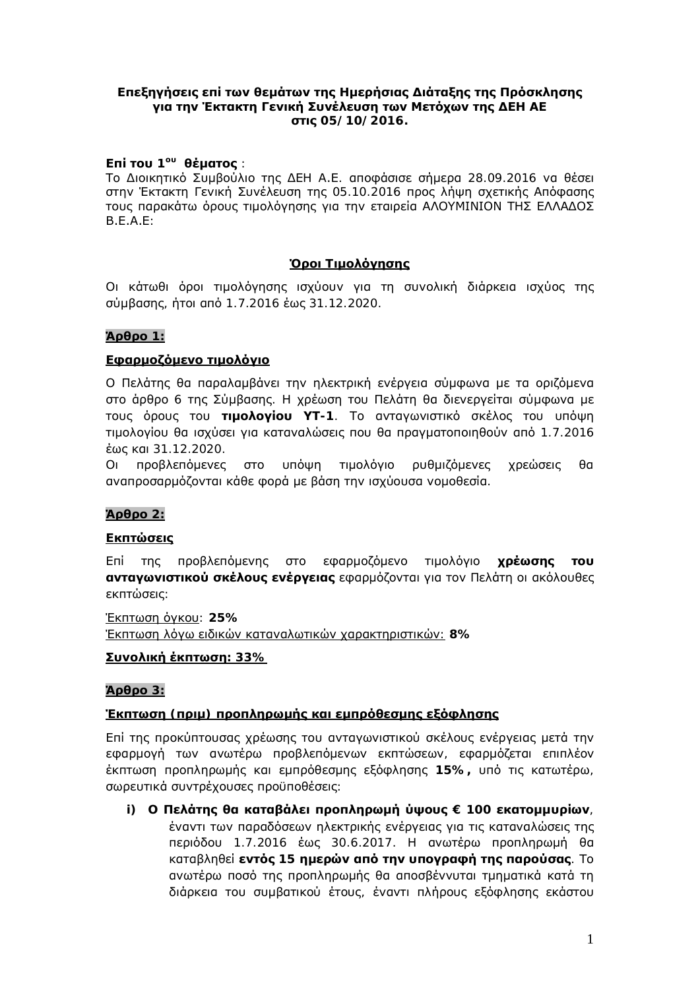### **Επεξηγήσεις επί των θεμάτων της Ημερήσιας Διάταξης της Πρόσκλησης** για την Έκτακτη Γενική Συνέλευση των Μετόχων της ΔΕΗ ΑΕ *o***ric** 05/10/2016.

### **Eπί του** 1<sup>ου</sup> θέματος :

Το Διοικητικό Συμβούλιο της ΔΕΗ Α.Ε. αποφάσισε σήμερα 28.09.2016 να θέσει στην Έκτακτη Γενική Συνέλευση της 05.10.2016 προς λήψη σχετικής Απόφασης TOUC Παρακάτω όρους τιμολόγησης για την εταιρεία ΑΛΟΥΜΙΝΙΟΝ ΤΗΣ ΕΛΛΑΔΟΣ  $B.E.A.E:$ 

### **<u>Όροι Τιμολόγησης</u>**

Οι κάτωθι όροι τιμολόγησης ισχύουν για τη συνολική διάρκεια ισχύος της σύμβασης, ήτοι από 1.7.2016 έως 31.12.2020.

### **Άρθρο** 1:

# **Εφαρμοζόμενο τιμολόνιο**

Ο Πελάτης θα παραλαμβάνει την ηλεκτρική ενέργεια σύμφωνα με τα οριζόμενα στο άρθρο 6 της Σύμβασης. Η χρέωση του Πελάτη θα διενεργείται σύμφωνα με **ΤΟΥΣ ΘΑΙΟΥΩ ΤΟΥ ΤΙΗΘΛΟΥΙΟΥ ΥΤ**-1. Το ανταγωνιστικό σκέλος του υπόψη TIμολογίου θα ισχύσει για καταναλώσεις που θα πραγματοποιηθούν από 1.7.2016 έως και 31.12.2020.

Οι προβλεπόμενες στο υπόψη τιμολόγιο ρυθμιζόμενες χρεώσεις θα aναπροσαρμόζονται κάθε φορά με βάση την ισχύουσα νομοθεσία.

#### **Άρθρο** 2:

#### **Εκπτώσεις**

Επί της προβλεπόμενης στο εφαρμοζόμενο τιμολόγιο **χρέωσης του ανταγωνιστικού σκέλους ενέργειας** εφαρμόζονται για τον Πελάτη οι ακόλουθες **εκπτώσεις:** 

 $'E$ κπτωση όγκου: 25% IEκητωση λόγω ειδικών καταναλωτικών χαρακτηριστικών: 8%

#### **Συνολική έκπτωση**: 33%

#### **Άρθρο** 3:

# $\mathbf{F}$ κπτωση (πριμ) προπληρωμής και εμπρόθεσμης εξόφλησης

Επί της προκύπτουσας χρέωσης του ανταγωνιστικού σκέλους ενέργειας μετά την εφαρμογή των ανωτέρω προβλεπόμενων εκπτώσεων, εφαρμόζεται επιπλέον έκπτωση προπληρωμής και εμπρόθεσμης εξόφλησης 15%, υπό τις κατωτέρω, σωρευτικά συντρέχουσες προϋποθέσεις:

**i)** Ο Πελάτης θα καταβάλει προπληρωμή ύψους € 100 εκατομμυρίων, έναντι των παραδόσεων ηλεκτρικής ενέργειας για τις καταναλώσεις της περιόδου 1.7.2016 έως 30.6.2017. Η ανωτέρω προπληρωμή θα  $\kappa$ αταβληθεί **εντός** 15 **ημερών από την υπογραφή της παρούσας**. Το ανωτέρω ποσό της προπληρωμής θα αποσβέννυται τμηματικά κατά τη διάρκεια του συμβατικού έτους, έναντι πλήρους εξόφλησης εκάστου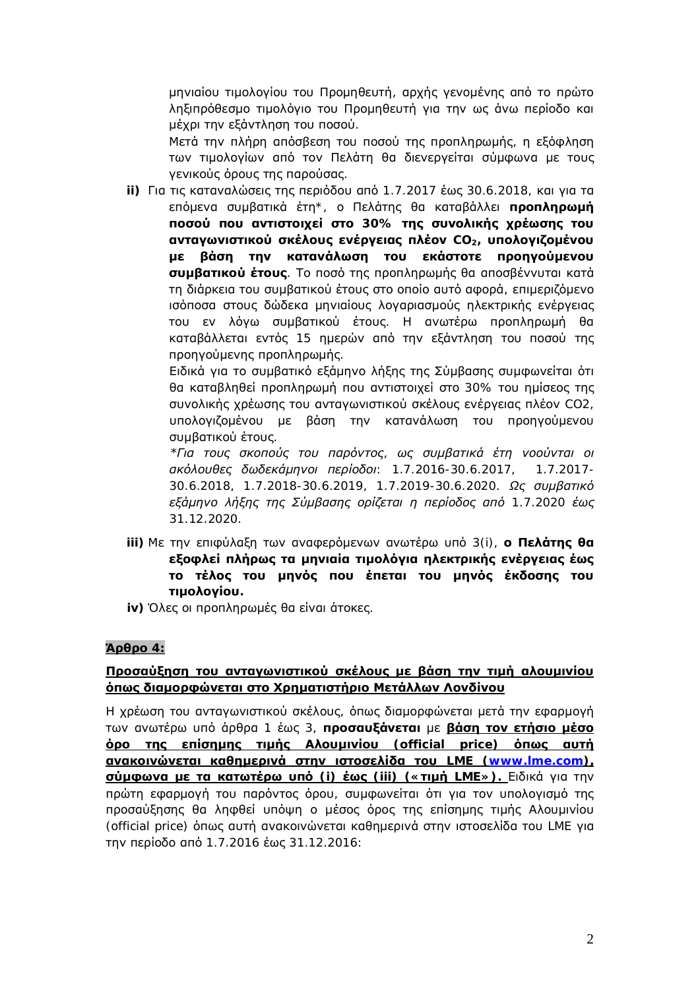μηνιαίου τιμολογίου του Προμηθευτή, αρχής γενομένης από το πρώτο ληξιπρόθεσμο τιμολόγιο του Προμηθευτή για την ως άνω περίοδο και μέχρι την εξάντληση του ποσού.

Μετά την πλήρη απόσβεση του ποσού της προπληρωμής, η εξόφληση <u>των τιμολογίων από τον Πελάτη θα διενεργείται σύμφωνα με τους</u> γενικούς όρους της παρούσας.

ii) Για τις καταναλώσεις της περιόδου από 1.7.2017 έως 30.6.2018, και για τα επόμενα συμβατικά έτη\*, ο Πελάτης θα καταβάλλει **προπληρωμή**  $\blacksquare$ ποσού που αντιστοιχεί στο 30% της συνολικής χρέωσης του **| ανταγωνιστικού σκέλους ενέργειας πλέον** CO<sub>2</sub>, **υπολογιζομένου** με βάση την κατανάλωση του εκάστοτε προηγούμενου **συμβατικού έτους**. Το ποσό της προπληρωμής θα αποσβέννυται κατά τη διάρκεια του συμβατικού έτους στο οποίο αυτό αφορά, επιμεριζόμενο ισόποσα στους δώδεκα μηνιαίους λογαριασμούς ηλεκτρικής ενέργειας TOU εν λόγω συμβατικού έτους. Η ανωτέρω προπληρωμή θα καταβάλλεται εντός 15 ημερών από την εξάντληση του ποσού της προηγούμενης προπληρωμής.

Eιδικά για το συμβατικό εξάμηνο λήξης της Σύμβασης συμφωνείται ότι θα καταβληθεί προπληρωμή που αντιστοιχεί στο 30% του ημίσεος της συνολικής χρέωσης του ανταγωνιστικού σκέλους ενέργειας πλέον CO2, υπολογιζομένου με βάση την κατανάλωση του προηγούμενου συμβατικού έτους.

*\*Για τους σκοπούς του παρόντος, ως συμβατικά έτη νοούνται οι*  $\alpha$ κόλουθες δωδεκάμηνοι περίοδοι: 1.7.2016-30.6.2017, 1.7.2017-30.6.2018, 1.7.2018-30.6.2019, 1.7.2019-30.6.2020. Ως συμβατικό  $\bar{\varepsilon}$ ξάμηνο λήξης της Σύμβασης ορίζεται η περίοδος από 1.7.2020 έως *31.12.2020.* 

- **iii)** Με την επιφύλαξη των αναφερόμενων ανωτέρω υπό 3(i), **ο Πελάτης θα Εξοφλεί πλήρως τα μηνιαία τιμολόγια ηλεκτρικής ενέργειας έως ΤΟ Τέλος ΤΟυ μηνός που έπεται του μηνός έκδοσης του IILIOλογίου**.
- iv) Όλες οι προπληρωμές θα είναι άτοκες.

# **Άρθρο** 4:

# Προσαύξηση του ανταγωνιστικού σκέλους με βάση την τιμή αλουμινίου <u>όπως διαμορφώνεται στο Χρηματιστήριο Μετάλλων Λο</u>νδίνου

Η χρέωση του ανταγωνιστικού σκέλους, όπως διαμορφώνεται μετά την εφαρμογή **Των ανωτέρω υπό άρθρα 1 έως 3, προσαυξάνεται με βάση τον ετήσιο μέσο**  $\dot{\textbf{o}}$ ρο της επίσημης τιμής Αλουμινίου (official price) όπως αυτή  $\boldsymbol{\mu}$ μνακοινώνεται καθημερινά στην ιστοσελίδα του LME ([www.lme.com](http://www.lme.com/)), **<u>σύμφωνα με τα κατωτέρω υπό (i) έως (iii) (« τιμή LME»). Ειδικά για την**</u> Πρώτη εφαρμογή του παρόντος όρου, συμφωνείται ότι για τον υπολογισμό της προσαύξησης θα ληφθεί υπόψη ο μέσος όρος της επίσημης τιμής Αλουμινίου (official price) όπως αυτή ανακοινώνεται καθημερινά στην ιστοσελίδα του LME για Tην περίοδο από 1.7.2016 έως 31.12.2016: